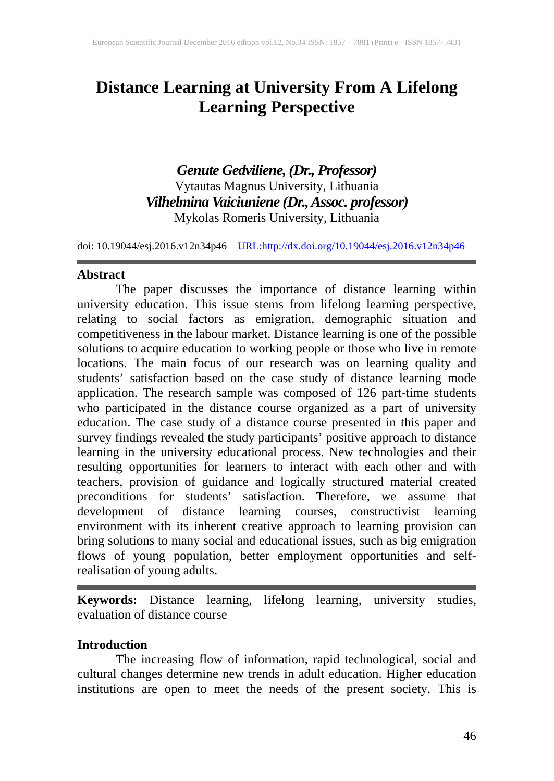# **Distance Learning at University From A Lifelong Learning Perspective**

*Genute Gedviliene, (Dr., Professor)* Vytautas Magnus University, Lithuania *Vilhelmina Vaiciuniene (Dr.,Assoc. professor)* Mykolas Romeris University, Lithuania

doi: 10.19044/esj.2016.v12n34p46 [URL:http://dx.doi.org/10.19044/esj.2016.v12n34p46](http://dx.doi.org/10.19044/esj.2016.v12n34p46)

#### **Abstract**

The paper discusses the importance of distance learning within university education. This issue stems from lifelong learning perspective, relating to social factors as emigration, demographic situation and competitiveness in the labour market. Distance learning is one of the possible solutions to acquire education to working people or those who live in remote locations. The main focus of our research was on learning quality and students' satisfaction based on the case study of distance learning mode application. The research sample was composed of 126 part-time students who participated in the distance course organized as a part of university education. The case study of a distance course presented in this paper and survey findings revealed the study participants' positive approach to distance learning in the university educational process. New technologies and their resulting opportunities for learners to interact with each other and with teachers, provision of guidance and logically structured material created preconditions for students' satisfaction. Therefore, we assume that development of distance learning courses, constructivist learning environment with its inherent creative approach to learning provision can bring solutions to many social and educational issues, such as big emigration flows of young population, better employment opportunities and selfrealisation of young adults.

**Keywords:** Distance learning, lifelong learning, university studies, evaluation of distance course

#### **Introduction**

The increasing flow of information, rapid technological, social and cultural changes determine new trends in adult education. Higher education institutions are open to meet the needs of the present society. This is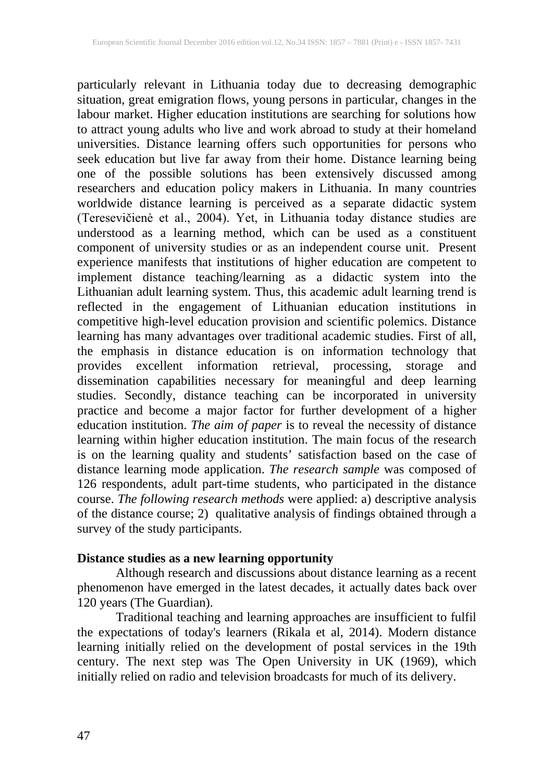particularly relevant in Lithuania today due to decreasing demographic situation, great emigration flows, young persons in particular, changes in the labour market. Higher education institutions are searching for solutions how to attract young adults who live and work abroad to study at their homeland universities. Distance learning offers such opportunities for persons who seek education but live far away from their home. Distance learning being one of the possible solutions has been extensively discussed among researchers and education policy makers in Lithuania. In many countries worldwide distance learning is perceived as a separate didactic system (Teresevičienė et al., 2004). Yet, in Lithuania today distance studies are understood as a learning method, which can be used as a constituent component of university studies or as an independent course unit. Present experience manifests that institutions of higher education are competent to implement distance teaching/learning as a didactic system into the Lithuanian adult learning system. Thus, this academic adult learning trend is reflected in the engagement of Lithuanian education institutions in competitive high-level education provision and scientific polemics. Distance learning has many advantages over traditional academic studies. First of all, the emphasis in distance education is on information technology that provides excellent information retrieval, processing, storage and dissemination capabilities necessary for meaningful and deep learning studies. Secondly, distance teaching can be incorporated in university practice and become a major factor for further development of a higher education institution. *The aim of paper* is to reveal the necessity of distance learning within higher education institution. The main focus of the research is on the learning quality and students' satisfaction based on the case of distance learning mode application. *The research sample* was composed of 126 respondents, adult part-time students, who participated in the distance course. *The following research methods* were applied: a) descriptive analysis of the distance course; 2) qualitative analysis of findings obtained through a survey of the study participants.

# **Distance studies as a new learning opportunity**

Although research and discussions about distance learning as a recent phenomenon have emerged in the latest decades, it actually dates back over 120 years (The Guardian).

Traditional teaching and learning approaches are insufficient to fulfil the expectations of today's learners (Rikala et al, 2014). Modern distance learning initially relied on the development of postal services in the 19th century. The next step was The Open University in UK (1969), which initially relied on radio and television broadcasts for much of its delivery.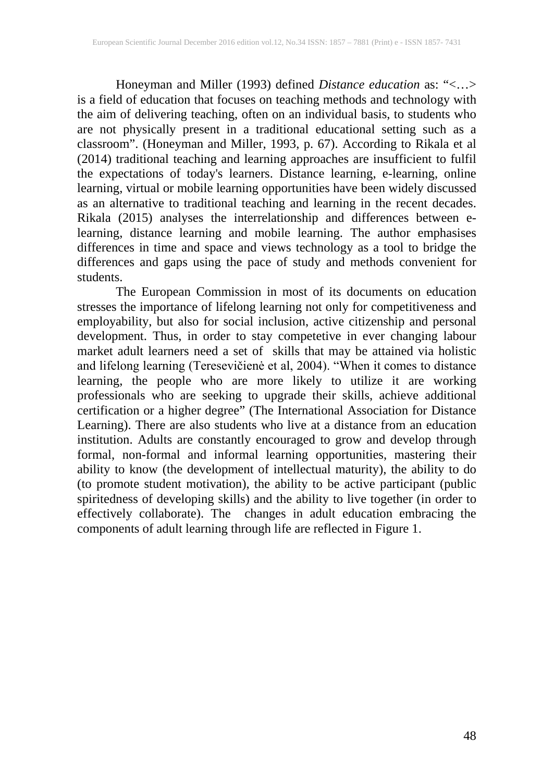Honeyman and Miller (1993) defined *Distance education* as: "<…> is a field of education that focuses on teaching methods and technology with the aim of delivering teaching, often on an individual basis, to students who are not physically present in a traditional educational setting such as a classroom". (Honeyman and Miller, 1993, p. 67). According to Rikala et al (2014) traditional teaching and learning approaches are insufficient to fulfil the expectations of today's learners. Distance learning, e-learning, online learning, virtual or mobile learning opportunities have been widely discussed as an alternative to traditional teaching and learning in the recent decades. Rikala (2015) analyses the interrelationship and differences between elearning, distance learning and mobile learning. The author emphasises differences in time and space and views technology as a tool to bridge the differences and gaps using the pace of study and methods convenient for students.

The European Commission in most of its documents on education stresses the importance of lifelong learning not only for competitiveness and employability, but also for social inclusion, active citizenship and personal development. Thus, in order to stay competetive in ever changing labour market adult learners need a set of skills that may be attained via holistic and lifelong learning (Teresevičienė et al, 2004). "When it comes to distance learning, the people who are more likely to utilize it are working professionals who are seeking to upgrade their skills, achieve additional certification or a higher degree" (The International Association for Distance Learning). There are also students who live at a distance from an education institution. Adults are constantly encouraged to grow and develop through formal, non-formal and informal learning opportunities, mastering their ability to know (the development of intellectual maturity), the ability to do (to promote student motivation), the ability to be active participant (public spiritedness of developing skills) and the ability to live together (in order to effectively collaborate). The changes in adult education embracing the components of adult learning through life are reflected in Figure 1.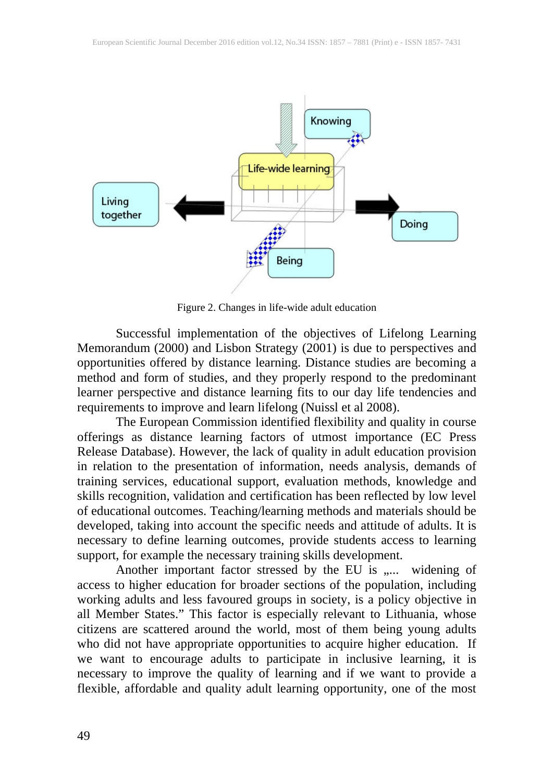

Figure 2. Changes in life-wide adult education

Successful implementation of the objectives of Lifelong Learning Memorandum (2000) and Lisbon Strategy (2001) is due to perspectives and opportunities offered by distance learning. Distance studies are becoming a method and form of studies, and they properly respond to the predominant learner perspective and distance learning fits to our day life tendencies and requirements to improve and learn lifelong (Nuissl et al 2008).

The European Commission identified flexibility and quality in course offerings as distance learning factors of utmost importance (EC Press Release Database). However, the lack of quality in adult education provision in relation to the presentation of information, needs analysis, demands of training services, educational support, evaluation methods, knowledge and skills recognition, validation and certification has been reflected by low level of educational outcomes. Teaching/learning methods and materials should be developed, taking into account the specific needs and attitude of adults. It is necessary to define learning outcomes, provide students access to learning support, for example the necessary training skills development.

Another important factor stressed by the EU is ,.... widening of access to higher education for broader sections of the population, including working adults and less favoured groups in society, is a policy objective in all Member States." This factor is especially relevant to Lithuania, whose citizens are scattered around the world, most of them being young adults who did not have appropriate opportunities to acquire higher education. If we want to encourage adults to participate in inclusive learning, it is necessary to improve the quality of learning and if we want to provide a flexible, affordable and quality adult learning opportunity, one of the most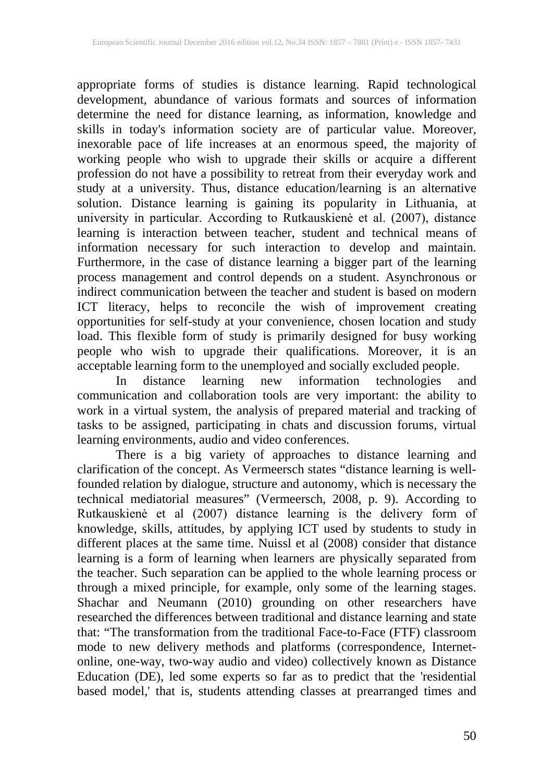appropriate forms of studies is distance learning. Rapid technological development, abundance of various formats and sources of information determine the need for distance learning, as information, knowledge and skills in today's information society are of particular value. Moreover, inexorable pace of life increases at an enormous speed, the majority of working people who wish to upgrade their skills or acquire a different profession do not have a possibility to retreat from their everyday work and study at a university. Thus, distance education/learning is an alternative solution. Distance learning is gaining its popularity in Lithuania, at university in particular. According to Rutkauskienė et al. (2007), distance learning is interaction between teacher, student and technical means of information necessary for such interaction to develop and maintain. Furthermore, in the case of distance learning a bigger part of the learning process management and control depends on a student. Asynchronous or indirect communication between the teacher and student is based on modern ICT literacy, helps to reconcile the wish of improvement creating opportunities for self-study at your convenience, chosen location and study load. This flexible form of study is primarily designed for busy working people who wish to upgrade their qualifications. Moreover, it is an acceptable learning form to the unemployed and socially excluded people.

In distance learning new information technologies and communication and collaboration tools are very important: the ability to work in a virtual system, the analysis of prepared material and tracking of tasks to be assigned, participating in chats and discussion forums, virtual learning environments, audio and video conferences.

There is a big variety of approaches to distance learning and clarification of the concept. As Vermeersch states "distance learning is wellfounded relation by dialogue, structure and autonomy, which is necessary the technical mediatorial measures" (Vermeersch, 2008, p. 9). According to Rutkauskienė et al (2007) distance learning is the delivery form of knowledge, skills, attitudes, by applying ICT used by students to study in different places at the same time. Nuissl et al (2008) consider that distance learning is a form of learning when learners are physically separated from the teacher. Such separation can be applied to the whole learning process or through a mixed principle, for example, only some of the learning stages. Shachar and Neumann (2010) grounding on other researchers have researched the differences between traditional and distance learning and state that: "The transformation from the traditional Face-to-Face (FTF) classroom mode to new delivery methods and platforms (correspondence, Internetonline, one-way, two-way audio and video) collectively known as Distance Education (DE), led some experts so far as to predict that the 'residential based model,' that is, students attending classes at prearranged times and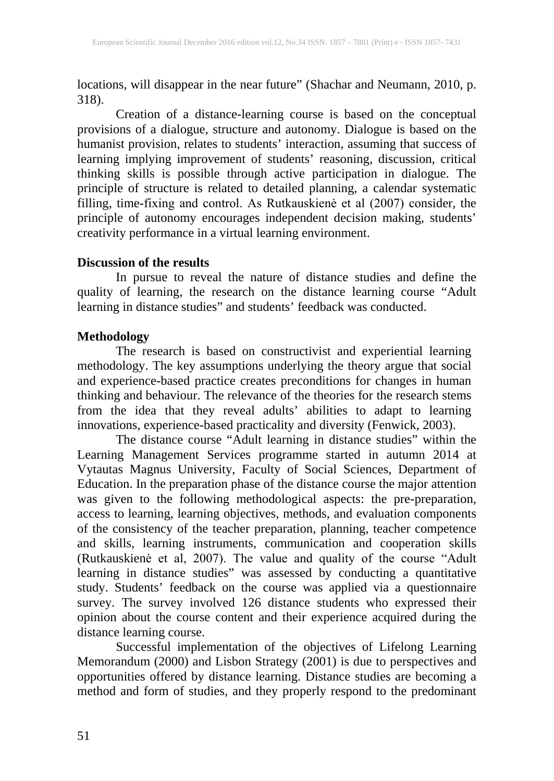locations, will disappear in the near future" (Shachar and Neumann, 2010, p. 318).

Creation of a distance-learning course is based on the conceptual provisions of a dialogue, structure and autonomy. Dialogue is based on the humanist provision, relates to students' interaction, assuming that success of learning implying improvement of students' reasoning, discussion, critical thinking skills is possible through active participation in dialogue. The principle of structure is related to detailed planning, a calendar systematic filling, time-fixing and control. As Rutkauskienė et al (2007) consider, the principle of autonomy encourages independent decision making, students' creativity performance in a virtual learning environment.

#### **Discussion of the results**

In pursue to reveal the nature of distance studies and define the quality of learning, the research on the distance learning course "Adult learning in distance studies" and students' feedback was conducted.

## **Methodology**

The research is based on constructivist and experiential learning methodology. The key assumptions underlying the theory argue that social and experience-based practice creates preconditions for changes in human thinking and behaviour. The relevance of the theories for the research stems from the idea that they reveal adults' abilities to adapt to learning innovations, experience-based practicality and diversity (Fenwick, 2003).

The distance course "Adult learning in distance studies" within the Learning Management Services programme started in autumn 2014 at Vytautas Magnus University, Faculty of Social Sciences, Department of Education. In the preparation phase of the distance course the major attention was given to the following methodological aspects: the pre-preparation, access to learning, learning objectives, methods, and evaluation components of the consistency of the teacher preparation, planning, teacher competence and skills, learning instruments, communication and cooperation skills (Rutkauskienė et al, 2007). The value and quality of the course "Adult learning in distance studies" was assessed by conducting a quantitative study. Students' feedback on the course was applied via a questionnaire survey. The survey involved 126 distance students who expressed their opinion about the course content and their experience acquired during the distance learning course.

Successful implementation of the objectives of Lifelong Learning Memorandum (2000) and Lisbon Strategy (2001) is due to perspectives and opportunities offered by distance learning. Distance studies are becoming a method and form of studies, and they properly respond to the predominant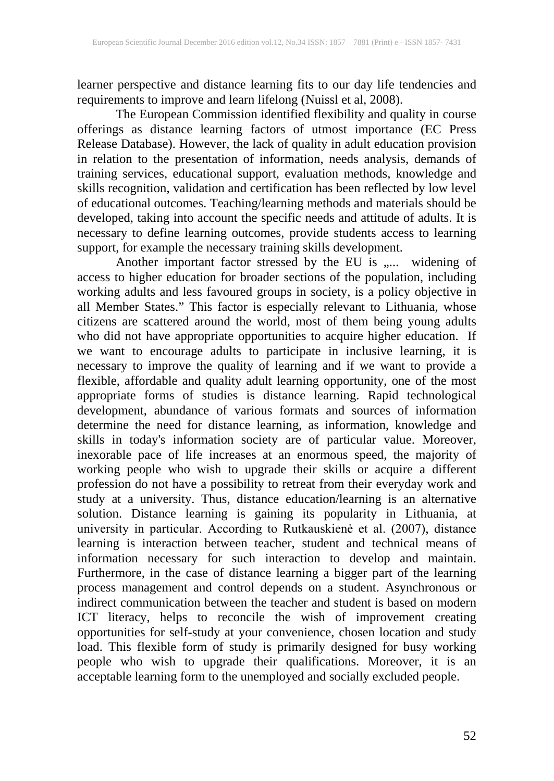learner perspective and distance learning fits to our day life tendencies and requirements to improve and learn lifelong (Nuissl et al, 2008).

The European Commission identified flexibility and quality in course offerings as distance learning factors of utmost importance (EC Press Release Database). However, the lack of quality in adult education provision in relation to the presentation of information, needs analysis, demands of training services, educational support, evaluation methods, knowledge and skills recognition, validation and certification has been reflected by low level of educational outcomes. Teaching/learning methods and materials should be developed, taking into account the specific needs and attitude of adults. It is necessary to define learning outcomes, provide students access to learning support, for example the necessary training skills development.

Another important factor stressed by the EU is ,.... widening of access to higher education for broader sections of the population, including working adults and less favoured groups in society, is a policy objective in all Member States." This factor is especially relevant to Lithuania, whose citizens are scattered around the world, most of them being young adults who did not have appropriate opportunities to acquire higher education. If we want to encourage adults to participate in inclusive learning, it is necessary to improve the quality of learning and if we want to provide a flexible, affordable and quality adult learning opportunity, one of the most appropriate forms of studies is distance learning. Rapid technological development, abundance of various formats and sources of information determine the need for distance learning, as information, knowledge and skills in today's information society are of particular value. Moreover, inexorable pace of life increases at an enormous speed, the majority of working people who wish to upgrade their skills or acquire a different profession do not have a possibility to retreat from their everyday work and study at a university. Thus, distance education/learning is an alternative solution. Distance learning is gaining its popularity in Lithuania, at university in particular. According to Rutkauskienė et al. (2007), distance learning is interaction between teacher, student and technical means of information necessary for such interaction to develop and maintain. Furthermore, in the case of distance learning a bigger part of the learning process management and control depends on a student. Asynchronous or indirect communication between the teacher and student is based on modern ICT literacy, helps to reconcile the wish of improvement creating opportunities for self-study at your convenience, chosen location and study load. This flexible form of study is primarily designed for busy working people who wish to upgrade their qualifications. Moreover, it is an acceptable learning form to the unemployed and socially excluded people.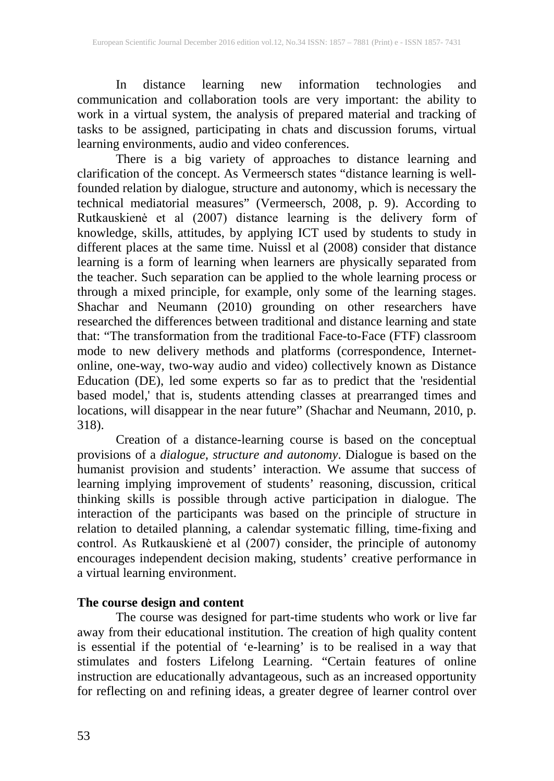In distance learning new information technologies and communication and collaboration tools are very important: the ability to work in a virtual system, the analysis of prepared material and tracking of tasks to be assigned, participating in chats and discussion forums, virtual learning environments, audio and video conferences.

There is a big variety of approaches to distance learning and clarification of the concept. As Vermeersch states "distance learning is wellfounded relation by dialogue, structure and autonomy, which is necessary the technical mediatorial measures" (Vermeersch, 2008, p. 9). According to Rutkauskienė et al (2007) distance learning is the delivery form of knowledge, skills, attitudes, by applying ICT used by students to study in different places at the same time. Nuissl et al (2008) consider that distance learning is a form of learning when learners are physically separated from the teacher. Such separation can be applied to the whole learning process or through a mixed principle, for example, only some of the learning stages. Shachar and Neumann (2010) grounding on other researchers have researched the differences between traditional and distance learning and state that: "The transformation from the traditional Face-to-Face (FTF) classroom mode to new delivery methods and platforms (correspondence, Internetonline, one-way, two-way audio and video) collectively known as Distance Education (DE), led some experts so far as to predict that the 'residential based model,' that is, students attending classes at prearranged times and locations, will disappear in the near future" (Shachar and Neumann, 2010, p. 318).

Creation of a distance-learning course is based on the conceptual provisions of a *dialogue, structure and autonomy*. Dialogue is based on the humanist provision and students' interaction. We assume that success of learning implying improvement of students' reasoning, discussion, critical thinking skills is possible through active participation in dialogue. The interaction of the participants was based on the principle of structure in relation to detailed planning, a calendar systematic filling, time-fixing and control. As Rutkauskienė et al (2007) consider, the principle of autonomy encourages independent decision making, students' creative performance in a virtual learning environment.

# **The course design and content**

The course was designed for part-time students who work or live far away from their educational institution. The creation of high quality content is essential if the potential of 'e-learning' is to be realised in a way that stimulates and fosters Lifelong Learning. "Certain features of online instruction are educationally advantageous, such as an increased opportunity for reflecting on and refining ideas, a greater degree of learner control over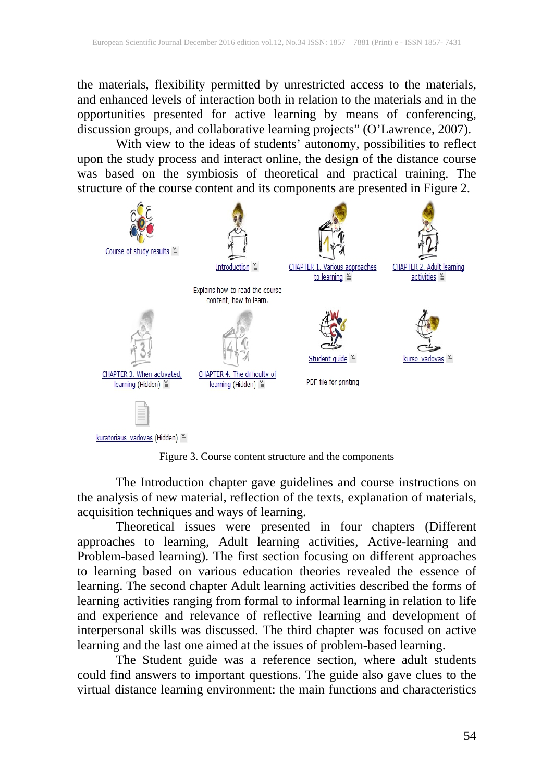the materials, flexibility permitted by unrestricted access to the materials, and enhanced levels of interaction both in relation to the materials and in the opportunities presented for active learning by means of conferencing, discussion groups, and collaborative learning projects" (O'Lawrence, 2007).

With view to the ideas of students' autonomy, possibilities to reflect upon the study process and interact online, the design of the distance course was based on the symbiosis of theoretical and practical training. The structure of the course content and its components are presented in Figure 2.



Figure 3. Course content structure and the components

The Introduction chapter gave guidelines and course instructions on the analysis of new material, reflection of the texts, explanation of materials, acquisition techniques and ways of learning.

Theoretical issues were presented in four chapters (Different approaches to learning, Adult learning activities, Active-learning and Problem-based learning). The first section focusing on different approaches to learning based on various education theories revealed the essence of learning. The second chapter Adult learning activities described the forms of learning activities ranging from formal to informal learning in relation to life and experience and relevance of reflective learning and development of interpersonal skills was discussed. The third chapter was focused on active learning and the last one aimed at the issues of problem-based learning.

The Student guide was a reference section, where adult students could find answers to important questions. The guide also gave clues to the virtual distance learning environment: the main functions and characteristics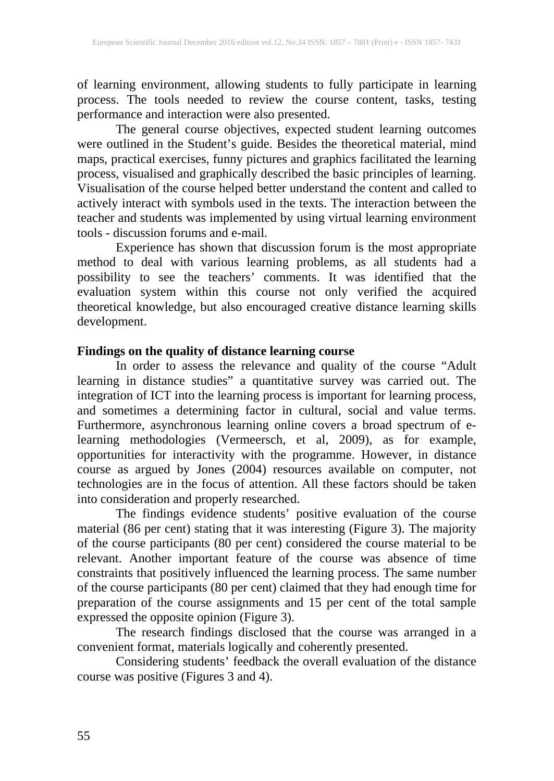of learning environment, allowing students to fully participate in learning process. The tools needed to review the course content, tasks, testing performance and interaction were also presented.

The general course objectives, expected student learning outcomes were outlined in the Student's guide. Besides the theoretical material, mind maps, practical exercises, funny pictures and graphics facilitated the learning process, visualised and graphically described the basic principles of learning. Visualisation of the course helped better understand the content and called to actively interact with symbols used in the texts. The interaction between the teacher and students was implemented by using virtual learning environment tools - discussion forums and e-mail.

Experience has shown that discussion forum is the most appropriate method to deal with various learning problems, as all students had a possibility to see the teachers' comments. It was identified that the evaluation system within this course not only verified the acquired theoretical knowledge, but also encouraged creative distance learning skills development.

# **Findings on the quality of distance learning course**

In order to assess the relevance and quality of the course "Adult learning in distance studies" a quantitative survey was carried out. The integration of ICT into the learning process is important for learning process, and sometimes a determining factor in cultural, social and value terms. Furthermore, asynchronous learning online covers a broad spectrum of elearning methodologies (Vermeersch, et al, 2009), as for example, opportunities for interactivity with the programme. However, in distance course as argued by Jones (2004) resources available on computer, not technologies are in the focus of attention. All these factors should be taken into consideration and properly researched.

The findings evidence students' positive evaluation of the course material (86 per cent) stating that it was interesting (Figure 3). The majority of the course participants (80 per cent) considered the course material to be relevant. Another important feature of the course was absence of time constraints that positively influenced the learning process. The same number of the course participants (80 per cent) claimed that they had enough time for preparation of the course assignments and 15 per cent of the total sample expressed the opposite opinion (Figure 3).

The research findings disclosed that the course was arranged in a convenient format, materials logically and coherently presented.

Considering students' feedback the overall evaluation of the distance course was positive (Figures 3 and 4).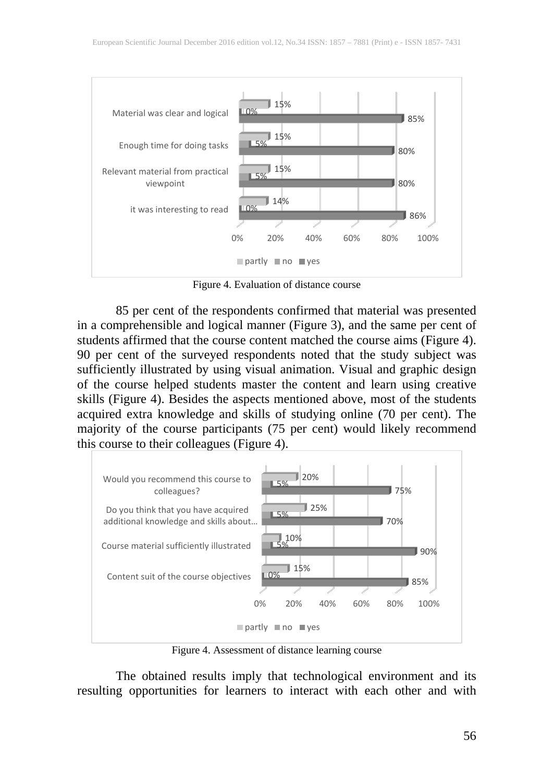

Figure 4. Evaluation of distance course

85 per cent of the respondents confirmed that material was presented in a comprehensible and logical manner (Figure 3), and the same per cent of students affirmed that the course content matched the course aims (Figure 4). 90 per cent of the surveyed respondents noted that the study subject was sufficiently illustrated by using visual animation. Visual and graphic design of the course helped students master the content and learn using creative skills (Figure 4). Besides the aspects mentioned above, most of the students acquired extra knowledge and skills of studying online (70 per cent). The majority of the course participants (75 per cent) would likely recommend this course to their colleagues (Figure 4).



Figure 4. Assessment of distance learning course

The obtained results imply that technological environment and its resulting opportunities for learners to interact with each other and with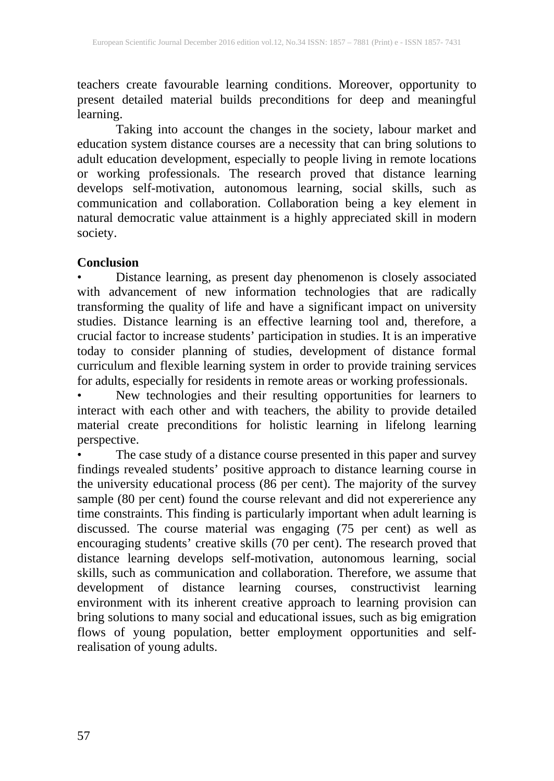teachers create favourable learning conditions. Moreover, opportunity to present detailed material builds preconditions for deep and meaningful learning.

Taking into account the changes in the society, labour market and education system distance courses are a necessity that can bring solutions to adult education development, especially to people living in remote locations or working professionals. The research proved that distance learning develops self-motivation, autonomous learning, social skills, such as communication and collaboration. Collaboration being a key element in natural democratic value attainment is a highly appreciated skill in modern society.

## **Conclusion**

• Distance learning, as present day phenomenon is closely associated with advancement of new information technologies that are radically transforming the quality of life and have a significant impact on university studies. Distance learning is an effective learning tool and, therefore, a crucial factor to increase students' participation in studies. It is an imperative today to consider planning of studies, development of distance formal curriculum and flexible learning system in order to provide training services for adults, especially for residents in remote areas or working professionals.

• New technologies and their resulting opportunities for learners to interact with each other and with teachers, the ability to provide detailed material create preconditions for holistic learning in lifelong learning perspective.

• The case study of a distance course presented in this paper and survey findings revealed students' positive approach to distance learning course in the university educational process (86 per cent). The majority of the survey sample (80 per cent) found the course relevant and did not expererience any time constraints. This finding is particularly important when adult learning is discussed. The course material was engaging (75 per cent) as well as encouraging students' creative skills (70 per cent). The research proved that distance learning develops self-motivation, autonomous learning, social skills, such as communication and collaboration. Therefore, we assume that development of distance learning courses, constructivist learning environment with its inherent creative approach to learning provision can bring solutions to many social and educational issues, such as big emigration flows of young population, better employment opportunities and selfrealisation of young adults.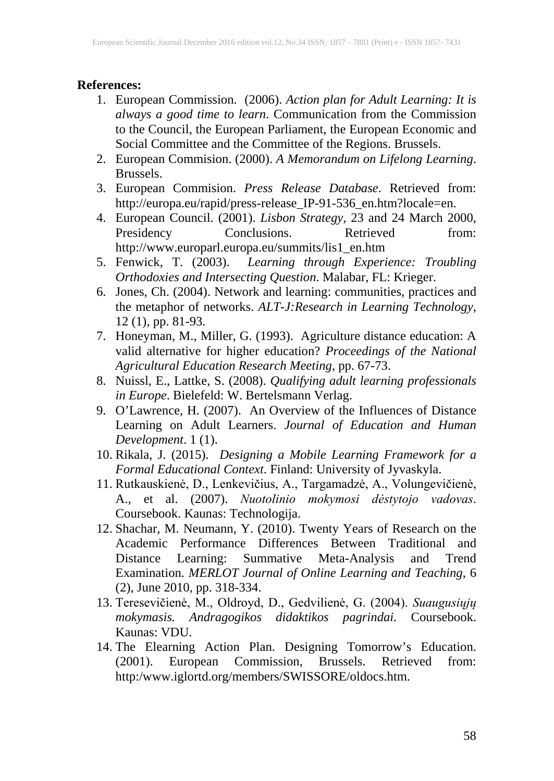#### **References:**

- 1. European Commission. (2006). *Action plan for Adult Learning: It is always a good time to learn*. Communication from the Commission to the Council, the European Parliament, the European Economic and Social Committee and the Committee of the Regions. Brussels.
- 2. European Commision. (2000). *A Memorandum on Lifelong Learning*. Brussels.
- 3. European Commision. *Press Release Database*. Retrieved from: http://europa.eu/rapid/press-release\_IP-91-536\_en.htm?locale=en.
- 4. European Council. (2001). *Lisbon Strategy*, 23 and 24 March 2000, Presidency Conclusions. Retrieved from: http://www.europarl.europa.eu/summits/lis1\_en.htm
- 5. Fenwick, T. (2003). *Learning through Experience: Troubling Orthodoxies and Intersecting Question*. Malabar, FL: Krieger.
- 6. Jones, Ch. (2004). Network and learning: communities, practices and the metaphor of networks. *ALT-J:Research in Learning Technology*, 12 (1), pp. 81-93.
- 7. Honeyman, M., Miller, G. (1993). Agriculture distance education: A valid alternative for higher education? *Proceedings of the National Agricultural Education Research Meeting,* pp. 67-73.
- 8. Nuissl, E., Lattke, S. (2008). *Qualifying adult learning professionals in Europe*. Bielefeld: W. Bertelsmann Verlag.
- 9. O'Lawrence, H. (2007). An Overview of the Influences of Distance Learning on Adult Learners. *Journal of Education and Human Development*. 1 (1).
- 10. Rikala, J. (2015). *Designing a Mobile Learning Framework for a Formal Educational Context*. Finland: University of Jyvaskyla.
- 11. Rutkauskienė, D., Lenkevičius, A., Targamadzė, A., Volungevičienė, A., et al. (2007). *Nuotolinio mokymosi dėstytojo vadovas*. Coursebook. Kaunas: Technologija.
- 12. Shachar, M. Neumann, Y. (2010). Twenty Years of Research on the Academic Performance Differences Between Traditional and Distance Learning: Summative Meta-Analysis and Trend Examination. *MERLOT Journal of Online Learning and Teaching*, 6 (2), June 2010, pp. 318-334.
- 13. Teresevičienė, M., Oldroyd, D., Gedvilienė, G. (2004). *Suaugusiųjų mokymasis. Andragogikos didaktikos pagrindai.* Coursebook. Kaunas: VDU.
- 14. The Elearning Action Plan. Designing Tomorrow's Education. (2001). European Commission, Brussels. Retrieved from: http:/www.iglortd.org/members/SWISSORE/oldocs.htm.